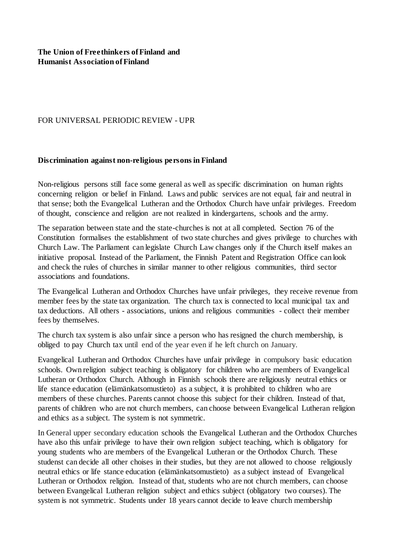## FOR UNIVERSAL PERIODIC REVIEW - UPR

## **Discrimination against non-religious persons in Finland**

Non-religious persons still face some general as well as specific discrimination on human rights concerning religion or belief in Finland. Laws and public services are not equal, fair and neutral in that sense; both the Evangelical Lutheran and the Orthodox Church have unfair privileges. Freedom of thought, conscience and religion are not realized in kindergartens, schools and the army.

The separation between state and the state-churches is not at all completed. Section 76 of the Constitution formalises the establishment of two state churches and gives privilege to churches with Church Law. The Parliament can legislate Church Law changes only if the Church itself makes an initiative proposal. Instead of the Parliament, the Finnish Patent and Registration Office can look and check the rules of churches in similar manner to other religious communities, third sector associations and foundations.

The Evangelical Lutheran and Orthodox Churches have unfair privileges, they receive revenue from member fees by the state tax organization. The church tax is connected to local municipal tax and tax deductions. All others - associations, unions and religious communities - collect their member fees by themselves.

The church tax system is also unfair since a person who has resigned the church membership, is obliged to pay Church tax until end of the year even if he left church on January.

Evangelical Lutheran and Orthodox Churches have unfair privilege in compulsory basic education schools. Own religion subject teaching is obligatory for children who are members of Evangelical Lutheran or Orthodox Church. Although in Finnish schools there are religiously neutral ethics or life stance education (elämänkatsomustieto) as a subject, it is prohibited to children who are members of these churches. Parents cannot choose this subject for their children. Instead of that, parents of children who are not church members, can choose between Evangelical Lutheran religion and ethics as a subject. The system is not symmetric.

In General upper secondary education schools the Evangelical Lutheran and the Orthodox Churches have also this unfair privilege to have their own religion subject teaching, which is obligatory for young students who are members of the Evangelical Lutheran or the Orthodox Church. These studenst can decide all other choises in their studies, but they are not allowed to choose religiously neutral ethics or life stance education (elämänkatsomustieto) as a subject instead of Evangelical Lutheran or Orthodox religion. Instead of that, students who are not church members, can choose between Evangelical Lutheran religion subject and ethics subject (obligatory two courses). The system is not symmetric. Students under 18 years cannot decide to leave church membership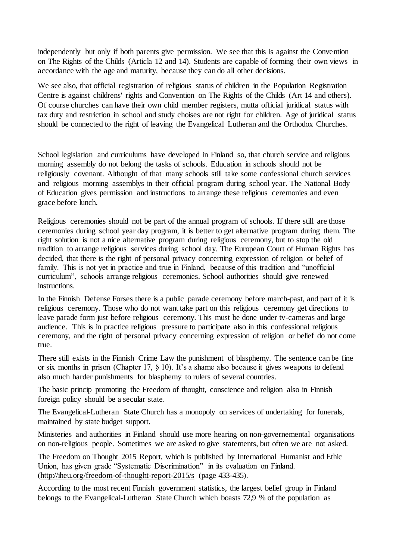independently but only if both parents give permission. We see that this is against the Convention on The Rights of the Childs (Articla 12 and 14). Students are capable of forming their own views in accordance with the age and maturity, because they can do all other decisions.

We see also, that official registration of religious status of children in the Population Registration Centre is against childrens' rights and Convention on The Rights of the Childs (Art 14 and others). Of course churches can have their own child member registers, mutta official juridical status with tax duty and restriction in school and study choises are not right for children. Age of juridical status should be connected to the right of leaving the Evangelical Lutheran and the Orthodox Churches.

School legislation and curriculums have developed in Finland so, that church service and religious morning assembly do not belong the tasks of schools. Education in schools should not be religiously covenant. Althought of that many schools still take some confessional church services and religious morning assemblys in their official program during school year. The National Body of Education gives permission and instructions to arrange these religious ceremonies and even grace before lunch.

Religious ceremonies should not be part of the annual program of schools. If there still are those ceremonies during school year day program, it is better to get alternative program during them. The right solution is not a nice alternative program during religious ceremony, but to stop the old tradition to arrange religious services during school day. The European Court of Human Rights has decided, that there is the right of personal privacy concerning expression of religion or belief of family. This is not yet in practice and true in Finland, because of this tradition and "unofficial curriculum", schools arrange religious ceremonies. School authorities should give renewed instructions.

In the Finnish Defense Forses there is a public parade ceremony before march-past, and part of it is religious ceremony. Those who do not want take part on this religious ceremony get directions to leave parade form just before religious ceremony. This must be done under tv-cameras and large audience. This is in practice religious pressure to participate also in this confessional religious ceremony, and the right of personal privacy concerning expression of religion or belief do not come true.

There still exists in the Finnish Crime Law the punishment of blasphemy. The sentence can be fine or six months in prison (Chapter 17, § 10). It's a shame also because it gives weapons to defend also much harder punishments for blasphemy to rulers of several countries.

The basic princip promoting the Freedom of thought, conscience and religion also in Finnish foreign policy should be a secular state.

The Evangelical-Lutheran State Church has a monopoly on services of undertaking for funerals, maintained by state budget support.

Ministeries and authorities in Finland should use more hearing on non-governemental organisations on non-religious people. Sometimes we are asked to give statements, but often we are not asked.

The Freedom on Thought 2015 Report, which is published by International Humanist and Ethic Union, has given grade "Systematic Discrimination" in its evaluation on Finland. (http://iheu.org/freedom-of-thought-report-2015/s (page 433-435).

According to the most recent Finnish government statistics, the largest belief group in Finland belongs to the Evangelical-Lutheran State Church which boasts 72,9 % of the population as